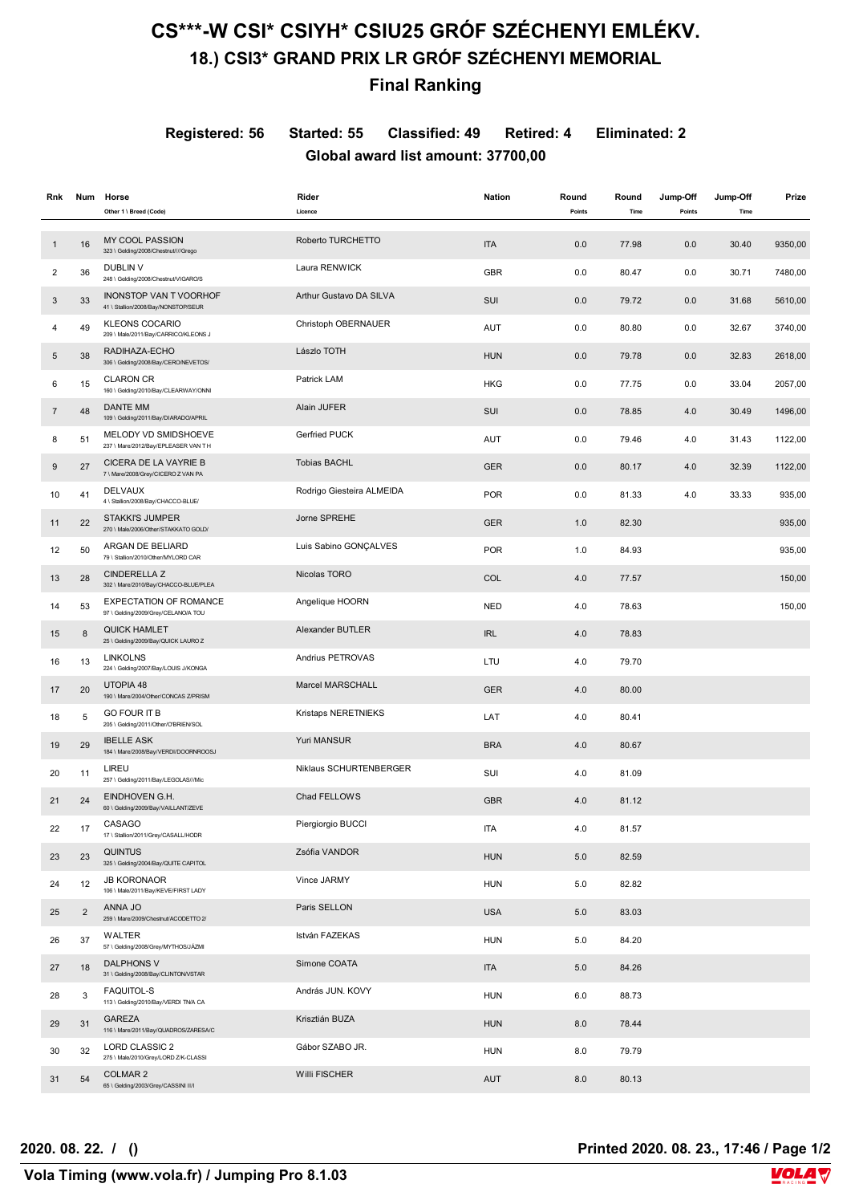# **CS\*\*\*-W CSI\* CSIYH\* CSIU25 GRÓF SZÉCHENYI EMLÉKV. 18.) CSI3\* GRAND PRIX LR GRÓF SZÉCHENYI MEMORIAL**

### **Final Ranking**

**Registered: 56 Started: 55 Classified: 49 Retired: 4 Eliminated: 2 Global award list amount: 37700,00**

| Rnk            | Num            | Horse<br>Other 1 \ Breed (Code)                                      | Rider<br>Licence          | <b>Nation</b> | Round<br>Points | Round<br>Time | Jump-Off<br>Points | Jump-Off<br>Time | Prize   |
|----------------|----------------|----------------------------------------------------------------------|---------------------------|---------------|-----------------|---------------|--------------------|------------------|---------|
|                |                |                                                                      |                           |               |                 |               |                    |                  |         |
| 1              | 16             | <b>MY COOL PASSION</b><br>323 \ Gelding/2008/Chestnut////Grego       | Roberto TURCHETTO         | <b>ITA</b>    | 0.0             | 77.98         | 0.0                | 30.40            | 9350,00 |
| $\overline{2}$ | 36             | <b>DUBLIN V</b><br>248 \ Gelding/2008/Chestnut/VIGARO/S              | Laura RENWICK             | <b>GBR</b>    | 0.0             | 80.47         | 0.0                | 30.71            | 7480,00 |
| 3              | 33             | <b>INONSTOP VAN T VOORHOF</b><br>41 \ Stallion/2008/Bay/NONSTOP/SEUR | Arthur Gustavo DA SILVA   | SUI           | 0.0             | 79.72         | 0.0                | 31.68            | 5610,00 |
| 4              | 49             | <b>KLEONS COCARIO</b><br>209 \ Male/2011/Bay/CARRICO/KLEONS J        | Christoph OBERNAUER       | AUT           | 0.0             | 80.80         | 0.0                | 32.67            | 3740,00 |
| 5              | 38             | RADIHAZA-ECHO<br>306 \ Gelding/2008/Bay/CERO/NEVETOS/                | Lászlo TOTH               | <b>HUN</b>    | 0.0             | 79.78         | 0.0                | 32.83            | 2618,00 |
| 6              | 15             | <b>CLARON CR</b><br>160 \ Gelding/2010/Bay/CLEARWAY/ONNI             | Patrick LAM               | <b>HKG</b>    | 0.0             | 77.75         | 0.0                | 33.04            | 2057,00 |
| $\overline{7}$ | 48             | DANTE MM<br>109 \ Gelding/2011/Bay/DIARADO/APRIL                     | Alain JUFER               | SUI           | 0.0             | 78.85         | 4.0                | 30.49            | 1496,00 |
| 8              | 51             | MELODY VD SMIDSHOEVE<br>237 \ Mare/2012/Bay/EPLEASER VAN TH          | Gerfried PUCK             | AUT           | 0.0             | 79.46         | 4.0                | 31.43            | 1122,00 |
| 9              | 27             | CICERA DE LA VAYRIE B<br>7 \ Mare/2008/Grey/CICERO Z VAN PA          | <b>Tobias BACHL</b>       | <b>GER</b>    | 0.0             | 80.17         | 4.0                | 32.39            | 1122,00 |
| 10             | 41             | <b>DELVAUX</b><br>4 \ Stallion/2008/Bay/CHACCO-BLUE/                 | Rodrigo Giesteira ALMEIDA | <b>POR</b>    | 0.0             | 81.33         | 4.0                | 33.33            | 935,00  |
| 11             | 22             | <b>STAKKI'S JUMPER</b><br>270 \ Male/2006/Other/STAKKATO GOLD/       | Jorne SPREHE              | <b>GER</b>    | 1.0             | 82.30         |                    |                  | 935,00  |
| 12             | 50             | ARGAN DE BELIARD<br>79 \ Stallion/2010/Other/MYLORD CAR              | Luis Sabino GONÇALVES     | <b>POR</b>    | 1.0             | 84.93         |                    |                  | 935,00  |
| 13             | 28             | <b>CINDERELLA Z</b><br>302 \ Mare/2010/Bay/CHACCO-BLUE/PLEA          | Nicolas TORO              | <b>COL</b>    | 4.0             | 77.57         |                    |                  | 150,00  |
| 14             | 53             | <b>EXPECTATION OF ROMANCE</b><br>97 \ Gelding/2009/Grey/CELANO/A TOU | Angelique HOORN           | <b>NED</b>    | 4.0             | 78.63         |                    |                  | 150,00  |
| 15             | 8              | <b>QUICK HAMLET</b><br>25 \ Gelding/2009/Bay/QUICK LAURO Z           | Alexander BUTLER          | <b>IRL</b>    | 4.0             | 78.83         |                    |                  |         |
| 16             | 13             | <b>LINKOLNS</b><br>224 \ Gelding/2007/Bay/LOUIS J/KONGA              | Andrius PETROVAS          | LTU           | 4.0             | 79.70         |                    |                  |         |
| 17             | 20             | UTOPIA 48<br>190 \ Mare/2004/Other/CONCAS Z/PRISM                    | Marcel MARSCHALL          | <b>GER</b>    | 4.0             | 80.00         |                    |                  |         |
| 18             | 5              | <b>GO FOUR IT B</b><br>205 \ Gelding/2011/Other/O'BRIEN/SOL          | Kristaps NERETNIEKS       | LAT           | 4.0             | 80.41         |                    |                  |         |
| 19             | 29             | <b>IBELLE ASK</b><br>184 \ Mare/2008/Bay/VERDI/DOORNROOSJ            | Yuri MANSUR               | <b>BRA</b>    | 4.0             | 80.67         |                    |                  |         |
| 20             | 11             | LIREU<br>257 \ Gelding/2011/Bay/LEGOLAS///Mic                        | Niklaus SCHURTENBERGER    | SUI           | 4.0             | 81.09         |                    |                  |         |
| 21             | 24             | EINDHOVEN G.H.<br>60 \ Gelding/2009/Bay/VAILLANT/ZEVE                | Chad FELLOWS              | <b>GBR</b>    | 4.0             | 81.12         |                    |                  |         |
| 22             | 17             | CASAGO<br>17 \ Stallion/2011/Grey/CASALL/HODR                        | Piergiorgio BUCCI         | ITA           | 4.0             | 81.57         |                    |                  |         |
| 23             | 23             | <b>QUINTUS</b><br>325 \ Gelding/2004/Bay/QUITE CAPITOL               | Zsófia VANDOR             | <b>HUN</b>    | 5.0             | 82.59         |                    |                  |         |
| 24             | 12             | <b>JB KORONAOR</b><br>106 \ Male/2011/Bay/KEVE/FIRST LADY            | Vince JARMY               | <b>HUN</b>    | 5.0             | 82.82         |                    |                  |         |
| 25             | $\overline{2}$ | ANNA JO<br>259 \ Mare/2009/Chestnut/ACODETTO 2/                      | Paris SELLON              | <b>USA</b>    | 5.0             | 83.03         |                    |                  |         |
| 26             | 37             | WALTER<br>57 \ Gelding/2008/Grey/MYTHOS/JÁZMI                        | István FAZEKAS            | <b>HUN</b>    | 5.0             | 84.20         |                    |                  |         |
| 27             | 18             | <b>DALPHONS V</b><br>31 \ Gelding/2008/Bay/CLINTON/VSTAR             | Simone COATA              | <b>ITA</b>    | $5.0$           | 84.26         |                    |                  |         |
| 28             | 3              | <b>FAQUITOL-S</b><br>113 \ Gelding/2010/Bay/VERDI TN/A CA            | András JUN. KOVY          | <b>HUN</b>    | 6.0             | 88.73         |                    |                  |         |
| 29             | 31             | GAREZA<br>116 \ Mare/2011/Bay/QUADROS/ZARESA/C                       | Krisztián BUZA            | <b>HUN</b>    | 8.0             | 78.44         |                    |                  |         |
| 30             | 32             | LORD CLASSIC 2<br>275 \ Male/2010/Grey/LORD Z/K-CLASSI               | Gábor SZABO JR.           | <b>HUN</b>    | 8.0             | 79.79         |                    |                  |         |
| 31             | 54             | <b>COLMAR 2</b><br>65 \ Gelding/2003/Grey/CASSINI II/I               | Willi FISCHER             | AUT           | 8.0             | 80.13         |                    |                  |         |

**2020. 08. 22. / () Printed 2020. 08. 23., 17:46 / Page 1/2**